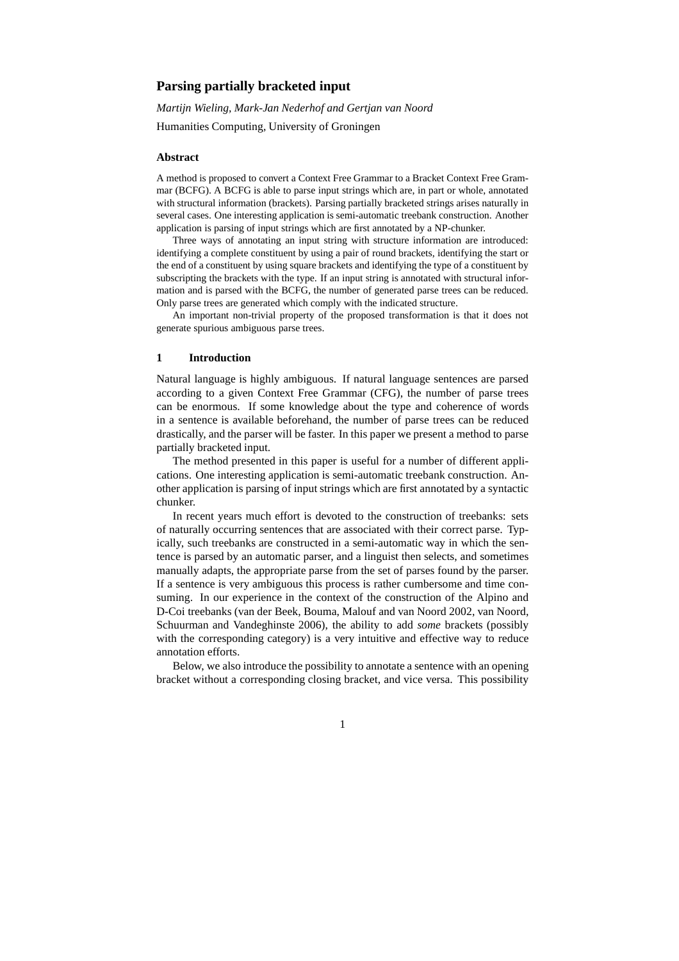# **Parsing partially bracketed input**

*Martijn Wieling, Mark-Jan Nederhof and Gertjan van Noord* Humanities Computing, University of Groningen

## **Abstract**

A method is proposed to convert a Context Free Grammar to a Bracket Context Free Grammar (BCFG). A BCFG is able to parse input strings which are, in part or whole, annotated with structural information (brackets). Parsing partially bracketed strings arises naturally in several cases. One interesting application is semi-automatic treebank construction. Another application is parsing of input strings which are first annotated by a NP-chunker.

Three ways of annotating an input string with structure information are introduced: identifying a complete constituent by using a pair of round brackets, identifying the start or the end of a constituent by using square brackets and identifying the type of a constituent by subscripting the brackets with the type. If an input string is annotated with structural information and is parsed with the BCFG, the number of generated parse trees can be reduced. Only parse trees are generated which comply with the indicated structure.

An important non-trivial property of the proposed transformation is that it does not generate spurious ambiguous parse trees.

#### **1 Introduction**

Natural language is highly ambiguous. If natural language sentences are parsed according to a given Context Free Grammar (CFG), the number of parse trees can be enormous. If some knowledge about the type and coherence of words in a sentence is available beforehand, the number of parse trees can be reduced drastically, and the parser will be faster. In this paper we present a method to parse partially bracketed input.

The method presented in this paper is useful for a number of different applications. One interesting application is semi-automatic treebank construction. Another application is parsing of input strings which are first annotated by a syntactic chunker.

In recent years much effort is devoted to the construction of treebanks: sets of naturally occurring sentences that are associated with their correct parse. Typically, such treebanks are constructed in a semi-automatic way in which the sentence is parsed by an automatic parser, and a linguist then selects, and sometimes manually adapts, the appropriate parse from the set of parses found by the parser. If a sentence is very ambiguous this process is rather cumbersome and time consuming. In our experience in the context of the construction of the Alpino and D-Coi treebanks (van der Beek, Bouma, Malouf and van Noord 2002, van Noord, Schuurman and Vandeghinste 2006), the ability to add *some* brackets (possibly with the corresponding category) is a very intuitive and effective way to reduce annotation efforts.

Below, we also introduce the possibility to annotate a sentence with an opening bracket without a corresponding closing bracket, and vice versa. This possibility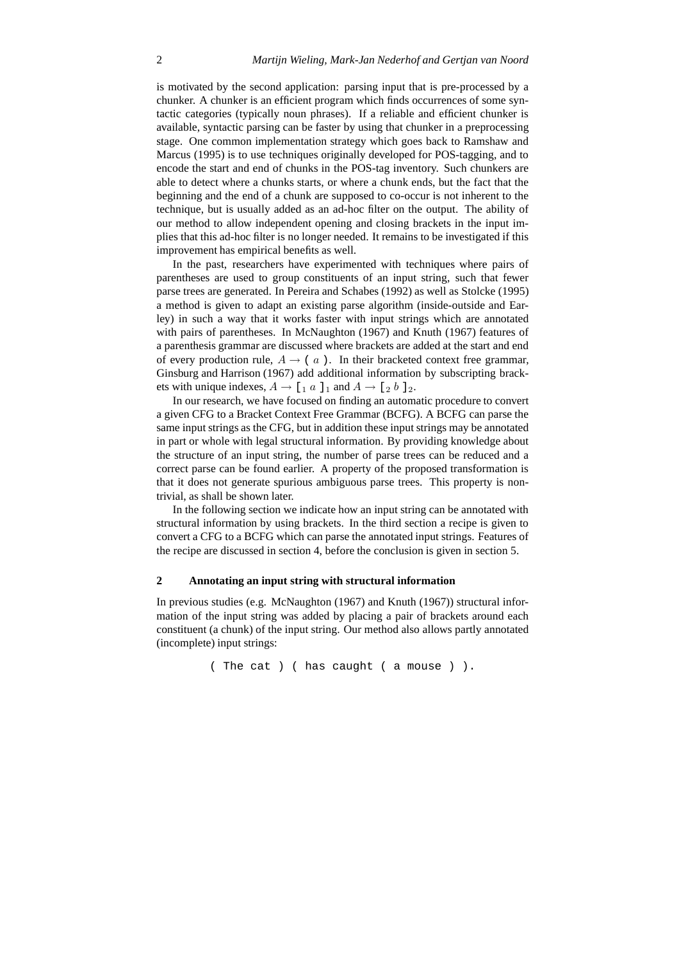is motivated by the second application: parsing input that is pre-processed by a chunker. A chunker is an efficient program which finds occurrences of some syntactic categories (typically noun phrases). If a reliable and efficient chunker is available, syntactic parsing can be faster by using that chunker in a preprocessing stage. One common implementation strategy which goes back to Ramshaw and Marcus (1995) is to use techniques originally developed for POS-tagging, and to encode the start and end of chunks in the POS-tag inventory. Such chunkers are able to detect where a chunks starts, or where a chunk ends, but the fact that the beginning and the end of a chunk are supposed to co-occur is not inherent to the technique, but is usually added as an ad-hoc filter on the output. The ability of our method to allow independent opening and closing brackets in the input implies that this ad-hoc filter is no longer needed. It remains to be investigated if this improvement has empirical benefits as well.

In the past, researchers have experimented with techniques where pairs of parentheses are used to group constituents of an input string, such that fewer parse trees are generated. In Pereira and Schabes (1992) as well as Stolcke (1995) a method is given to adapt an existing parse algorithm (inside-outside and Earley) in such a way that it works faster with input strings which are annotated with pairs of parentheses. In McNaughton (1967) and Knuth (1967) features of a parenthesis grammar are discussed where brackets are added at the start and end of every production rule,  $A \rightarrow (a)$ . In their bracketed context free grammar, Ginsburg and Harrison (1967) add additional information by subscripting brackets with unique indexes,  $A \rightarrow [1 \ a \ 1]$  and  $A \rightarrow [2 \ b \ 1]$ .

In our research, we have focused on finding an automatic procedure to convert a given CFG to a Bracket Context Free Grammar (BCFG). A BCFG can parse the same input strings as the CFG, but in addition these input strings may be annotated in part or whole with legal structural information. By providing knowledge about the structure of an input string, the number of parse trees can be reduced and a correct parse can be found earlier. A property of the proposed transformation is that it does not generate spurious ambiguous parse trees. This property is nontrivial, as shall be shown later.

In the following section we indicate how an input string can be annotated with structural information by using brackets. In the third section a recipe is given to convert a CFG to a BCFG which can parse the annotated input strings. Features of the recipe are discussed in section 4, before the conclusion is given in section 5.

## **2 Annotating an input string with structural information**

In previous studies (e.g. McNaughton (1967) and Knuth (1967)) structural information of the input string was added by placing a pair of brackets around each constituent (a chunk) of the input string. Our method also allows partly annotated (incomplete) input strings:

( The cat ) ( has caught ( a mouse ) ).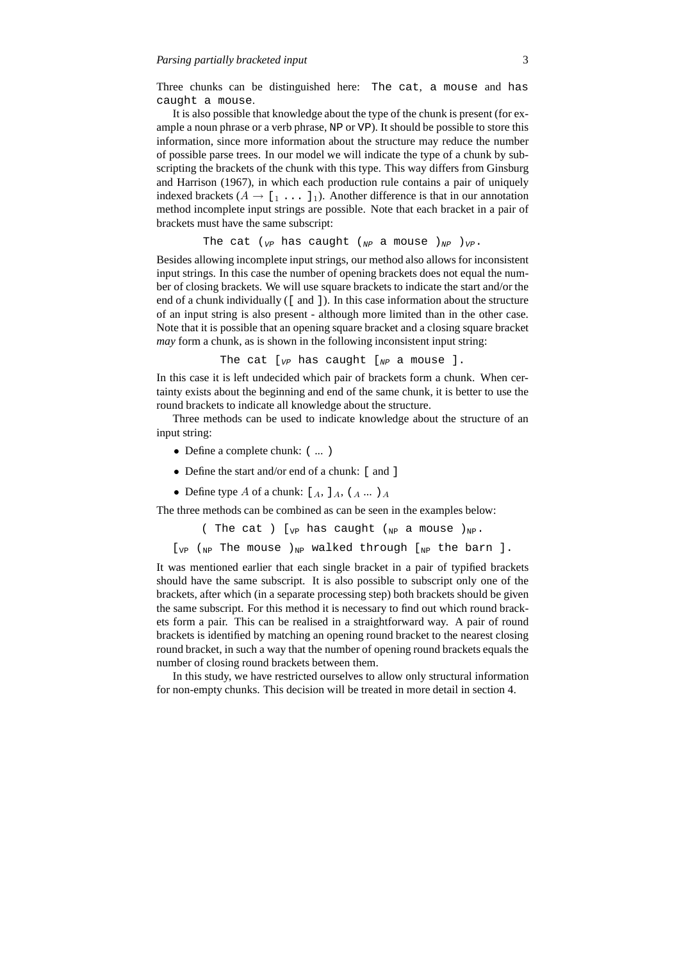Three chunks can be distinguished here: The cat, a mouse and has caught a mouse.

It is also possible that knowledge about the type of the chunk is present (for example a noun phrase or a verb phrase, NP or VP). It should be possible to store this information, since more information about the structure may reduce the number of possible parse trees. In our model we will indicate the type of a chunk by subscripting the brackets of the chunk with this type. This way differs from Ginsburg and Harrison (1967), in which each production rule contains a pair of uniquely indexed brackets  $(A \rightarrow [1 \dots 1]_1)$ . Another difference is that in our annotation method incomplete input strings are possible. Note that each bracket in a pair of brackets must have the same subscript:

The cat ( $_{VP}$  has caught ( $_{NP}$  a mouse ) $_{NP}$  ) $_{VP}$ .

Besides allowing incomplete input strings, our method also allows for inconsistent input strings. In this case the number of opening brackets does not equal the number of closing brackets. We will use square brackets to indicate the start and/or the end of a chunk individually ([ and ]). In this case information about the structure of an input string is also present - although more limited than in the other case. Note that it is possible that an opening square bracket and a closing square bracket *may* form a chunk, as is shown in the following inconsistent input string:

The cat  $[v_P]$  has caught  $[v_P]$  a mouse ].

In this case it is left undecided which pair of brackets form a chunk. When certainty exists about the beginning and end of the same chunk, it is better to use the round brackets to indicate all knowledge about the structure.

Three methods can be used to indicate knowledge about the structure of an input string:

- Define a complete chunk:  $(\dots)$
- Define the start and/or end of a chunk: [ and ]
- Define type A of a chunk:  $[A, I_A, (A, \ldots)A]$

The three methods can be combined as can be seen in the examples below:

( The cat ) [ $_{VP}$  has caught ( $_{NP}$  a mouse ) $_{NP}$ .

 $\begin{bmatrix}V_{\text{VP}} & V_{\text{NP}} & \text{The mouse} \end{bmatrix}$  alked through  $\begin{bmatrix}V_{\text{NP}} & \text{the barn}\end{bmatrix}$ .

It was mentioned earlier that each single bracket in a pair of typified brackets should have the same subscript. It is also possible to subscript only one of the brackets, after which (in a separate processing step) both brackets should be given the same subscript. For this method it is necessary to find out which round brackets form a pair. This can be realised in a straightforward way. A pair of round brackets is identified by matching an opening round bracket to the nearest closing round bracket, in such a way that the number of opening round brackets equals the number of closing round brackets between them.

In this study, we have restricted ourselves to allow only structural information for non-empty chunks. This decision will be treated in more detail in section 4.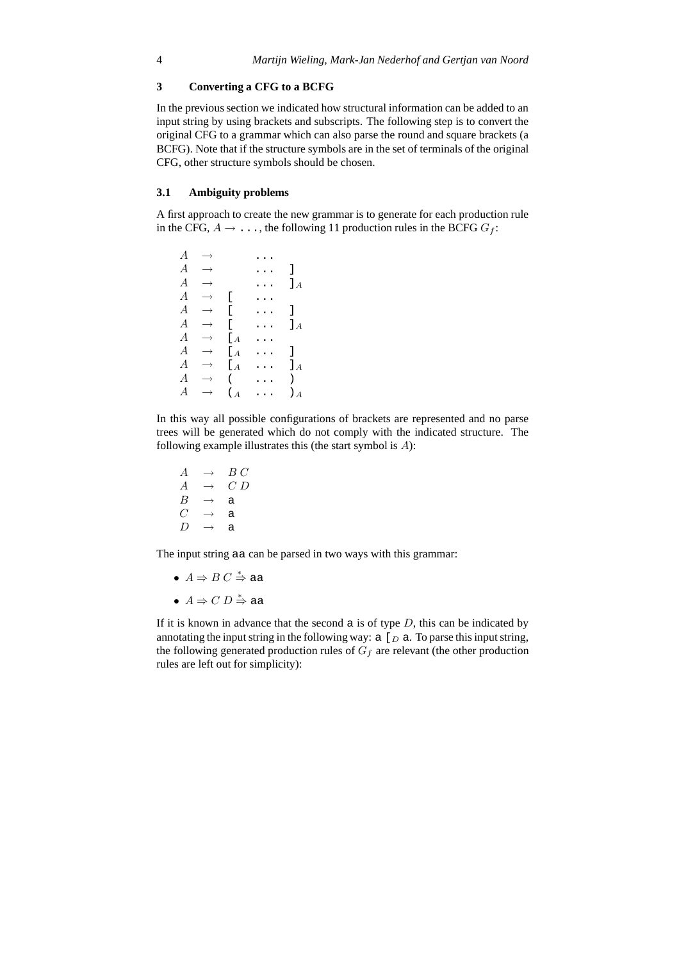# **3 Converting a CFG to a BCFG**

In the previous section we indicated how structural information can be added to an input string by using brackets and subscripts. The following step is to convert the original CFG to a grammar which can also parse the round and square brackets (a BCFG). Note that if the structure symbols are in the set of terminals of the original CFG, other structure symbols should be chosen.

# **3.1 Ambiguity problems**

A first approach to create the new grammar is to generate for each production rule in the CFG,  $A \rightarrow \ldots$ , the following 11 production rules in the BCFG  $G_f$ :

 $A \rightarrow \cdots$  $A \rightarrow \dots$ ]  $A \rightarrow$  ...  $I_A$  $A \rightarrow [\cdot \cdot \cdot \cdot$  $A \rightarrow [\dots]$  $A \rightarrow \begin{bmatrix} \dots \\ A \end{bmatrix}$ <br>  $A \rightarrow \begin{bmatrix} A & \dots \\ A & \dots \end{bmatrix}$  $A \rightarrow \begin{bmatrix} A & \cdots \\ A & \cdots \end{bmatrix}$ <br>  $A \rightarrow \begin{bmatrix} A & \cdots \\ A & \cdots \end{bmatrix}$  $A \rightarrow [A \dots]$ <br>  $A \rightarrow [A \dots]$  $\rightarrow$  [A ... ]A  $A \rightarrow (\ldots)$  $A \rightarrow (\begin{matrix} A & \cdots & A \end{matrix})_A$ 

In this way all possible configurations of brackets are represented and no parse trees will be generated which do not comply with the indicated structure. The following example illustrates this (the start symbol is A):

$$
\begin{array}{ccc}\nA & \rightarrow & BC \\
A & \rightarrow & CD \\
B & \rightarrow & \text{a} \\
C & \rightarrow & \text{a} \\
D & \rightarrow & \text{a}\n\end{array}
$$

The input string aa can be parsed in two ways with this grammar:

- $A \Rightarrow B C \stackrel{*}{\Rightarrow}$  aa
- $A \Rightarrow C D \stackrel{*}{\Rightarrow}$  aa

If it is known in advance that the second  $\alpha$  is of type  $D$ , this can be indicated by annotating the input string in the following way:  $a \mid_D a$ . To parse this input string, the following generated production rules of  $G_f$  are relevant (the other production rules are left out for simplicity):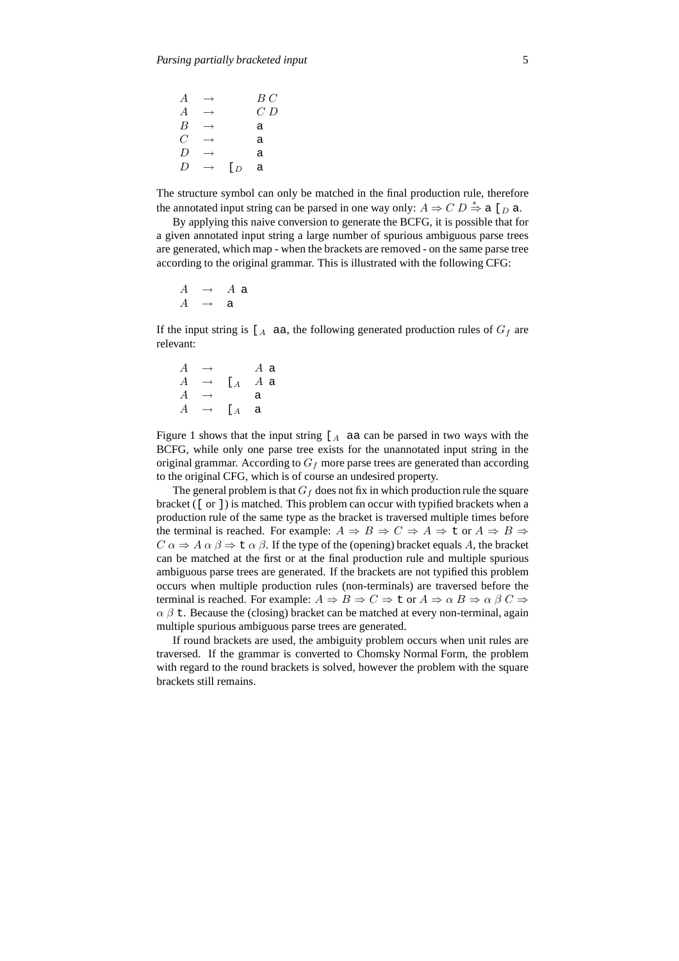| $\overline{A}$   | $\longrightarrow$ |                | B C     |
|------------------|-------------------|----------------|---------|
| $\overline{A}$   | $\longrightarrow$ |                | $C$ $D$ |
| $\boldsymbol{B}$ | $\longrightarrow$ |                | a       |
| $\overline{C}$   | $\rightarrow$     |                | a       |
| D                | $\longrightarrow$ |                | a       |
| D                | $\longrightarrow$ | [ <sub>D</sub> | a       |

The structure symbol can only be matched in the final production rule, therefore the annotated input string can be parsed in one way only:  $A \Rightarrow C D \stackrel{*}{\Rightarrow} a [D]$ 

By applying this naive conversion to generate the BCFG, it is possible that for a given annotated input string a large number of spurious ambiguous parse trees are generated, which map - when the brackets are removed - on the same parse tree according to the original grammar. This is illustrated with the following CFG:

$$
\begin{array}{ccc} A & \to & A \text{ a} \\ A & \to & \text{a} \end{array}
$$

If the input string is  $[A]$  aa, the following generated production rules of  $G_f$  are relevant:

 $A \rightarrow A$  a  $A \rightarrow \text{I}_A A$  a  $A \rightarrow$  a  $A \rightarrow \begin{bmatrix} A & a \end{bmatrix}$ 

Figure 1 shows that the input string  $A$  aa can be parsed in two ways with the BCFG, while only one parse tree exists for the unannotated input string in the original grammar. According to  $G_f$  more parse trees are generated than according to the original CFG, which is of course an undesired property.

The general problem is that  $G_f$  does not fix in which production rule the square bracket ([ or ]) is matched. This problem can occur with typified brackets when a production rule of the same type as the bracket is traversed multiple times before the terminal is reached. For example:  $A \Rightarrow B \Rightarrow C \Rightarrow A \Rightarrow t$  or  $A \Rightarrow B \Rightarrow$  $C \alpha \Rightarrow A \alpha \beta \Rightarrow L \alpha \beta$ . If the type of the (opening) bracket equals A, the bracket can be matched at the first or at the final production rule and multiple spurious ambiguous parse trees are generated. If the brackets are not typified this problem occurs when multiple production rules (non-terminals) are traversed before the terminal is reached. For example:  $A \Rightarrow B \Rightarrow C \Rightarrow \text{t}$  or  $A \Rightarrow \alpha B \Rightarrow \alpha \beta C \Rightarrow$  $\alpha$   $\beta$  t. Because the (closing) bracket can be matched at every non-terminal, again multiple spurious ambiguous parse trees are generated.

If round brackets are used, the ambiguity problem occurs when unit rules are traversed. If the grammar is converted to Chomsky Normal Form, the problem with regard to the round brackets is solved, however the problem with the square brackets still remains.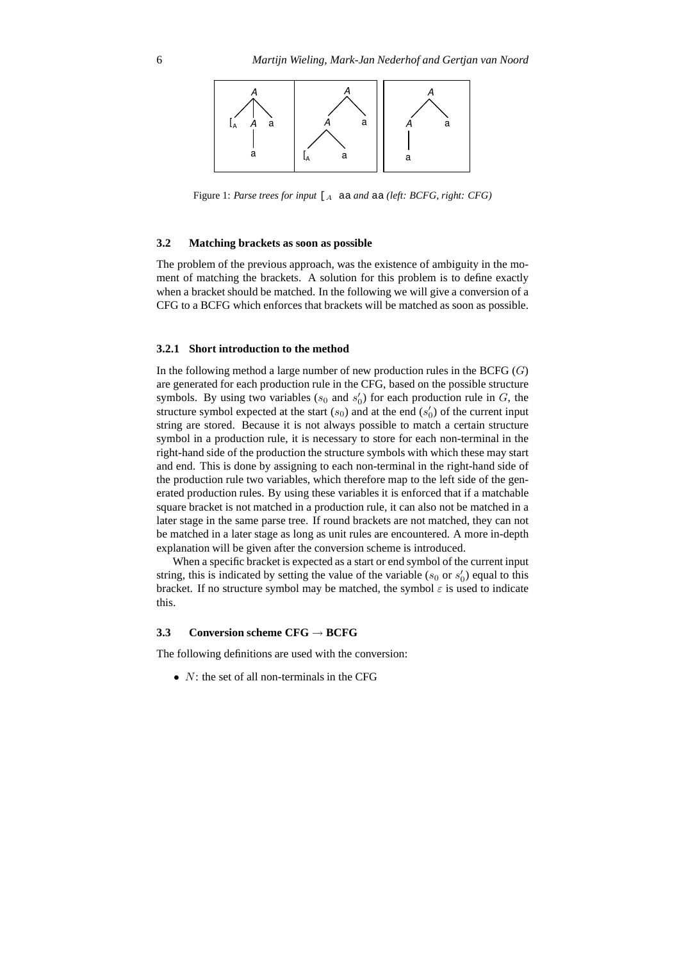

Figure 1: *Parse trees for input* [<sup>A</sup> aa *and* aa *(left: BCFG, right: CFG)*

#### **3.2 Matching brackets as soon as possible**

The problem of the previous approach, was the existence of ambiguity in the moment of matching the brackets. A solution for this problem is to define exactly when a bracket should be matched. In the following we will give a conversion of a CFG to a BCFG which enforces that brackets will be matched as soon as possible.

### **3.2.1 Short introduction to the method**

In the following method a large number of new production rules in the BCFG  $(G)$ are generated for each production rule in the CFG, based on the possible structure symbols. By using two variables ( $s_0$  and  $s'_0$ ) for each production rule in G, the structure symbol expected at the start  $(s_0)$  and at the end  $(s'_0)$  of the current input string are stored. Because it is not always possible to match a certain structure symbol in a production rule, it is necessary to store for each non-terminal in the right-hand side of the production the structure symbols with which these may start and end. This is done by assigning to each non-terminal in the right-hand side of the production rule two variables, which therefore map to the left side of the generated production rules. By using these variables it is enforced that if a matchable square bracket is not matched in a production rule, it can also not be matched in a later stage in the same parse tree. If round brackets are not matched, they can not be matched in a later stage as long as unit rules are encountered. A more in-depth explanation will be given after the conversion scheme is introduced.

When a specific bracket is expected as a start or end symbol of the current input string, this is indicated by setting the value of the variable  $(s_0$  or  $s'_0$ ) equal to this bracket. If no structure symbol may be matched, the symbol  $\varepsilon$  is used to indicate this.

# **3.3 Conversion scheme CFG** → **BCFG**

The following definitions are used with the conversion:

•  $N$ : the set of all non-terminals in the CFG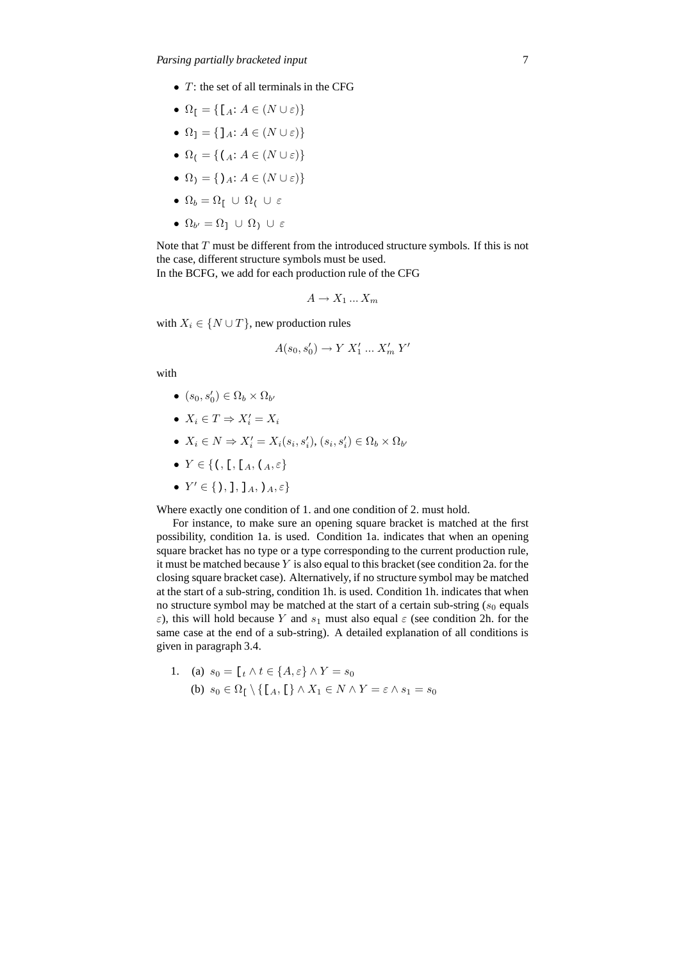- $T$ : the set of all terminals in the CFG
- $\Omega_{\mathfrak{l}} = {\mathfrak{l}}[A: A \in (N \cup \varepsilon)]$
- $\Omega_1 = \{ \, \, \vert \, \, A \in (N \cup \varepsilon) \}$
- $\Omega_i = \{ (A : A \in (N \cup \varepsilon) \}$
- $\Omega_1 = \{ \, \rangle_A : A \in (N \cup \varepsilon) \}$
- $\Omega_b = \Omega_f \cup \Omega_f \cup \varepsilon$
- $\bullet$   $\Omega_{b'} = \Omega_1 \ \cup \ \Omega_1 \ \cup \ \varepsilon$

Note that T must be different from the introduced structure symbols. If this is not the case, different structure symbols must be used. In the BCFG, we add for each production rule of the CFG

$$
A \to X_1 \dots X_m
$$

with  $X_i \in \{N \cup T\}$ , new production rules

$$
A(s_0, s'_0) \to Y X'_1 \dots X'_m Y'
$$

with

- $(s_0, s'_0) \in \Omega_b \times \Omega_{b'}$
- $X_i \in T \Rightarrow X'_i = X_i$
- $X_i \in N \Rightarrow X'_i = X_i(s_i, s'_i), (s_i, s'_i) \in \Omega_b \times \Omega_{b'}$
- Y ∈ {(, [, [A, (A, ε}
- $Y' \in \{ \, \rangle, \, \cdot \, \cdot, \, \cdot \, \cdot, \, \cdot, \, \cdot \}$

Where exactly one condition of 1. and one condition of 2. must hold.

For instance, to make sure an opening square bracket is matched at the first possibility, condition 1a. is used. Condition 1a. indicates that when an opening square bracket has no type or a type corresponding to the current production rule, it must be matched because  $Y$  is also equal to this bracket (see condition 2a. for the closing square bracket case). Alternatively, if no structure symbol may be matched at the start of a sub-string, condition 1h. is used. Condition 1h. indicates that when no structure symbol may be matched at the start of a certain sub-string  $(s_0$  equals ε), this will hold because Y and  $s_1$  must also equal  $ε$  (see condition 2h. for the same case at the end of a sub-string). A detailed explanation of all conditions is given in paragraph 3.4.

1. (a) 
$$
s_0 = [t \land t \in \{A, \varepsilon\} \land Y = s_0
$$
  
(b)  $s_0 \in \Omega_1 \setminus \{[A, [t] \land X_1 \in N \land Y = \varepsilon \land s_1 = s_0\}$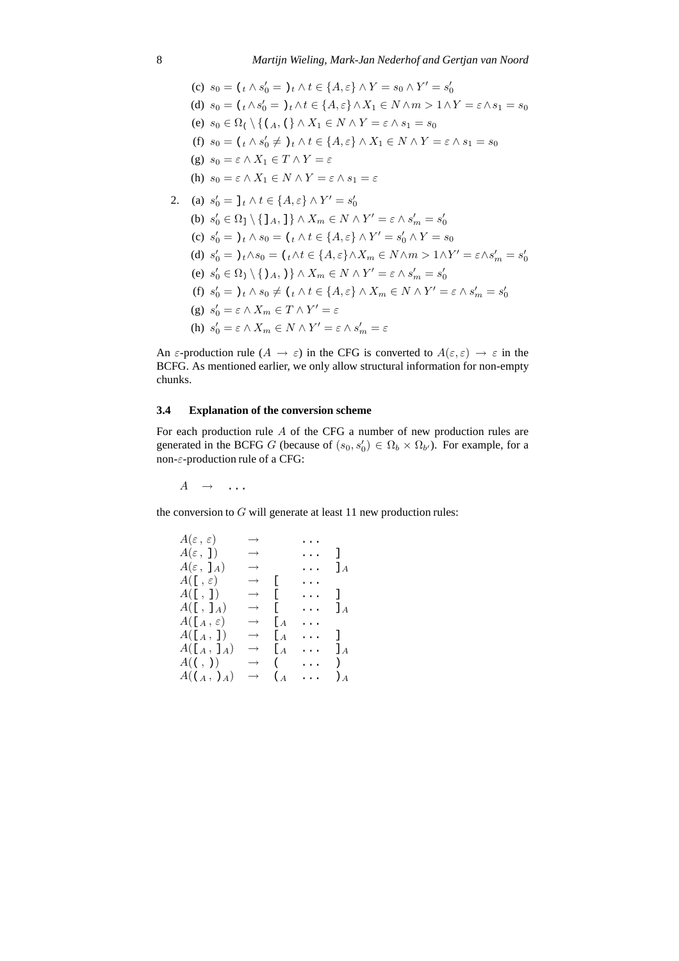(c) 
$$
s_0 = (t \wedge s'_0 = )t \wedge t \in \{A, \varepsilon\} \wedge Y = s_0 \wedge Y' = s'_0
$$
  
\n(d)  $s_0 = (t \wedge s'_0 = )t \wedge t \in \{A, \varepsilon\} \wedge X_1 \in N \wedge m > 1 \wedge Y = \varepsilon \wedge s_1 = s_0$   
\n(e)  $s_0 \in \Omega \wedge \{(a, (\}\wedge X_1 \in N \wedge Y = \varepsilon \wedge s_1 = s_0$   
\n(f)  $s_0 = (t \wedge s'_0 \neq )t \wedge t \in \{A, \varepsilon\} \wedge X_1 \in N \wedge Y = \varepsilon \wedge s_1 = s_0$   
\n(g)  $s_0 = \varepsilon \wedge X_1 \in T \wedge Y = \varepsilon$   
\n(h)  $s_0 = \varepsilon \wedge X_1 \in N \wedge Y = \varepsilon \wedge s_1 = \varepsilon$   
\n2. (a)  $s'_0 = 1t \wedge t \in \{A, \varepsilon\} \wedge Y' = s'_0$   
\n(b)  $s'_0 \in \Omega_1 \setminus \{1_A, 1\} \wedge X_m \in N \wedge Y' = \varepsilon \wedge s'_m = s'_0$   
\n(c)  $s'_0 = )t \wedge s_0 = (t \wedge t \in \{A, \varepsilon\} \wedge Y' = s'_0 \wedge Y = s_0$   
\n(d)  $s'_0 = )t \wedge s_0 = (t \wedge t \in \{A, \varepsilon\} \wedge X_m \in N \wedge m > 1 \wedge Y' = \varepsilon \wedge s'_m = s'_0$   
\n(e)  $s'_0 \in \Omega_1 \setminus \{1_A, 1\} \wedge X_m \in N \wedge Y' = \varepsilon \wedge s'_m = s'_0$   
\n(f)  $s'_0 = )t \wedge s_0 \neq (t \wedge t \in \{A, \varepsilon\} \wedge X_m \in N \wedge Y' = \varepsilon \wedge s'_m = s'_0$   
\n(g)  $s'_0 = \varepsilon \wedge X_m \in T \wedge Y' = \varepsilon$   
\n(h)  $s'_0 = \varepsilon \wedge X_m \in N$ 

An  $\varepsilon$ -production rule  $(A \to \varepsilon)$  in the CFG is converted to  $A(\varepsilon, \varepsilon) \to \varepsilon$  in the BCFG. As mentioned earlier, we only allow structural information for non-empty chunks.

# **3.4 Explanation of the conversion scheme**

For each production rule A of the CFG a number of new production rules are generated in the BCFG G (because of  $(s_0, s'_0) \in \Omega_b \times \Omega_{b'}$ ). For example, for a non-ε-production rule of a CFG:

 $A \rightarrow \ldots$ 

the conversion to  $G$  will generate at least 11 new production rules:

| $A(\varepsilon,\,\varepsilon)$   | $\rightarrow$     |               |          |                                                 |
|----------------------------------|-------------------|---------------|----------|-------------------------------------------------|
| $A(\varepsilon, 1)$              | $\longrightarrow$ |               | $\cdots$ | $\Box$                                          |
| $A(\varepsilon, \, 1_A)$         | $\longrightarrow$ |               | $\cdots$ | $\mathbf{I}_A$                                  |
| $A(\lbrack \cdot , \varepsilon)$ | $\rightarrow$     | -E            | .        |                                                 |
| $A($ [, ])                       | $\rightarrow$ [   |               | $\cdots$ | 1.                                              |
| $A(\lbrack 1, 1_A)$              | $\rightarrow$     | Г             | $\cdots$ | $\perp$ A                                       |
| $A(\lbrack A, \varepsilon)$      | $\longrightarrow$ | Lа            | .        |                                                 |
| $A([_A, 1])$                     | $\rightarrow$     | Lа            | $\cdots$ | Ι.                                              |
| $A(\lbrack A, \rbrack_A)$        | $\rightarrow$     | Lа            | $\cdots$ | $l_A$                                           |
| $A(\langle ,\rangle)$            | $\longrightarrow$ | $\left($      | $\cdots$ | $\left( \begin{array}{c} 1 \end{array} \right)$ |
| $A((A, )_A)$                     | $\longrightarrow$ | $\binom{4}{}$ |          | $\lambda_A$                                     |
|                                  |                   |               |          |                                                 |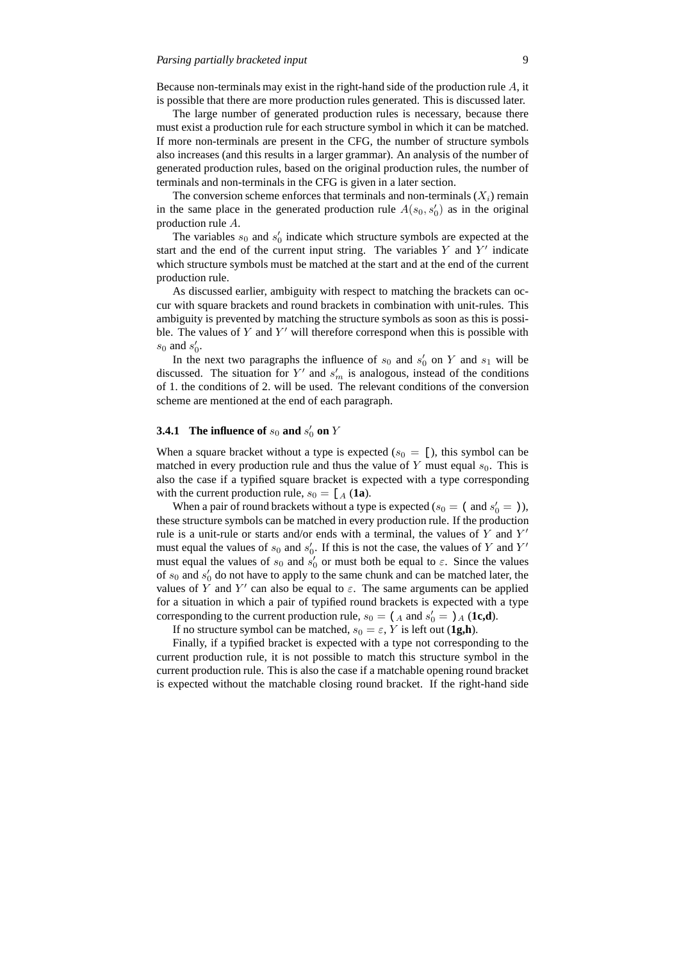Because non-terminals may exist in the right-hand side of the production rule  $A$ , it is possible that there are more production rules generated. This is discussed later.

The large number of generated production rules is necessary, because there must exist a production rule for each structure symbol in which it can be matched. If more non-terminals are present in the CFG, the number of structure symbols also increases (and this results in a larger grammar). An analysis of the number of generated production rules, based on the original production rules, the number of terminals and non-terminals in the CFG is given in a later section.

The conversion scheme enforces that terminals and non-terminals  $(X_i)$  remain in the same place in the generated production rule  $A(s_0, s'_0)$  as in the original production rule A.

The variables  $s_0$  and  $s'_0$  indicate which structure symbols are expected at the start and the end of the current input string. The variables  $Y$  and  $Y'$  indicate which structure symbols must be matched at the start and at the end of the current production rule.

As discussed earlier, ambiguity with respect to matching the brackets can occur with square brackets and round brackets in combination with unit-rules. This ambiguity is prevented by matching the structure symbols as soon as this is possible. The values of  $Y$  and  $Y'$  will therefore correspond when this is possible with  $s_0$  and  $s'_0$ .

In the next two paragraphs the influence of  $s_0$  and  $s'_0$  on Y and  $s_1$  will be discussed. The situation for  $Y'$  and  $s'_m$  is analogous, instead of the conditions of 1. the conditions of 2. will be used. The relevant conditions of the conversion scheme are mentioned at the end of each paragraph.

# **3.4.1** The influence of  $s_0$  and  $s'_0$  on Y

When a square bracket without a type is expected ( $s_0 = [$ ), this symbol can be matched in every production rule and thus the value of Y must equal  $s_0$ . This is also the case if a typified square bracket is expected with a type corresponding with the current production rule,  $s_0 = [A (1a)]$ .

When a pair of round brackets without a type is expected ( $s_0 = ($  and  $s'_0 = 1)$ ), these structure symbols can be matched in every production rule. If the production rule is a unit-rule or starts and/or ends with a terminal, the values of  $\overline{Y}$  and  $\overline{Y}'$ must equal the values of  $s_0$  and  $s'_0$ . If this is not the case, the values of Y and Y' must equal the values of  $s_0$  and  $s'_0$  or must both be equal to  $\varepsilon$ . Since the values of  $s_0$  and  $s'_0$  do not have to apply to the same chunk and can be matched later, the values of Y and Y' can also be equal to  $\varepsilon$ . The same arguments can be applied for a situation in which a pair of typified round brackets is expected with a type corresponding to the current production rule,  $s_0 = (A \text{ and } s'_0 =)A$  (**1c,d**).

If no structure symbol can be matched,  $s_0 = \varepsilon$ , Y is left out (**1g,h**).

Finally, if a typified bracket is expected with a type not corresponding to the current production rule, it is not possible to match this structure symbol in the current production rule. This is also the case if a matchable opening round bracket is expected without the matchable closing round bracket. If the right-hand side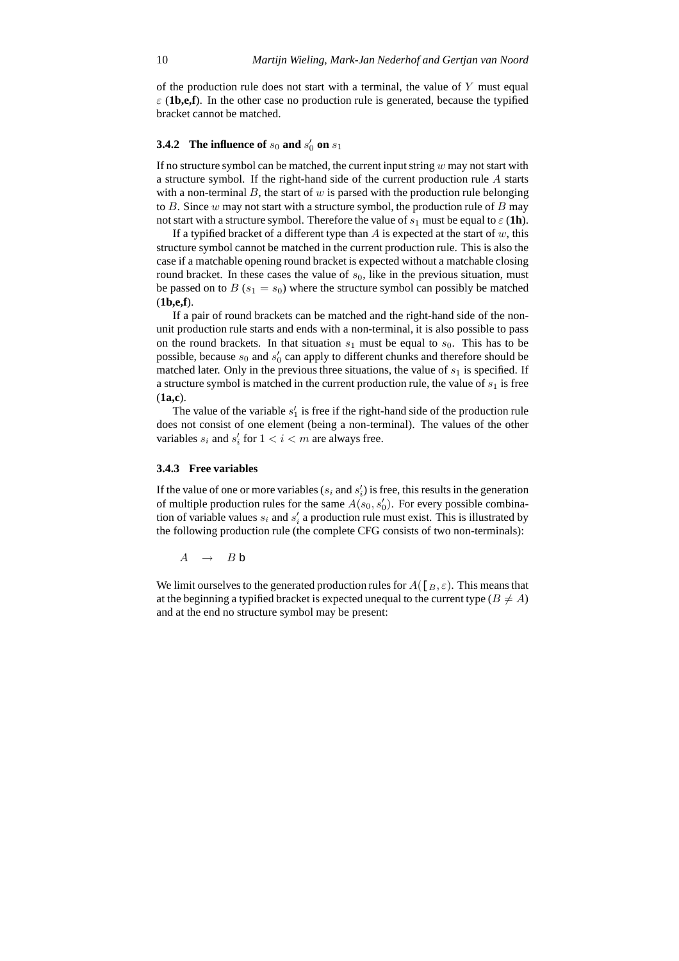of the production rule does not start with a terminal, the value of  $Y$  must equal  $\varepsilon$  (**1b,e,f**). In the other case no production rule is generated, because the typified bracket cannot be matched.

# **3.4.2** The influence of  $s_0$  and  $s'_0$  on  $s_1$

If no structure symbol can be matched, the current input string  $w$  may not start with a structure symbol. If the right-hand side of the current production rule A starts with a non-terminal  $B$ , the start of  $w$  is parsed with the production rule belonging to B. Since  $w$  may not start with a structure symbol, the production rule of  $B$  may not start with a structure symbol. Therefore the value of  $s_1$  must be equal to  $\varepsilon$  (**1h**).

If a typified bracket of a different type than A is expected at the start of  $w$ , this structure symbol cannot be matched in the current production rule. This is also the case if a matchable opening round bracket is expected without a matchable closing round bracket. In these cases the value of  $s<sub>0</sub>$ , like in the previous situation, must be passed on to  $B(s_1 = s_0)$  where the structure symbol can possibly be matched (**1b,e,f**).

If a pair of round brackets can be matched and the right-hand side of the nonunit production rule starts and ends with a non-terminal, it is also possible to pass on the round brackets. In that situation  $s_1$  must be equal to  $s_0$ . This has to be possible, because  $s_0$  and  $s'_0$  can apply to different chunks and therefore should be matched later. Only in the previous three situations, the value of  $s_1$  is specified. If a structure symbol is matched in the current production rule, the value of  $s_1$  is free (**1a,c**).

The value of the variable  $s_1$  is free if the right-hand side of the production rule does not consist of one element (being a non-terminal). The values of the other variables  $s_i$  and  $s'_i$  for  $1 < i < m$  are always free.

## **3.4.3 Free variables**

If the value of one or more variables ( $s_i$  and  $s'_i$ ) is free, this results in the generation of multiple production rules for the same  $A(s_0, s'_0)$ . For every possible combination of variable values  $s_i$  and  $s'_i$  a production rule must exist. This is illustrated by the following production rule (the complete CFG consists of two non-terminals):

 $A \rightarrow Bb$ 

We limit ourselves to the generated production rules for  $A([B, \varepsilon])$ . This means that at the beginning a typified bracket is expected unequal to the current type ( $B \neq A$ ) and at the end no structure symbol may be present: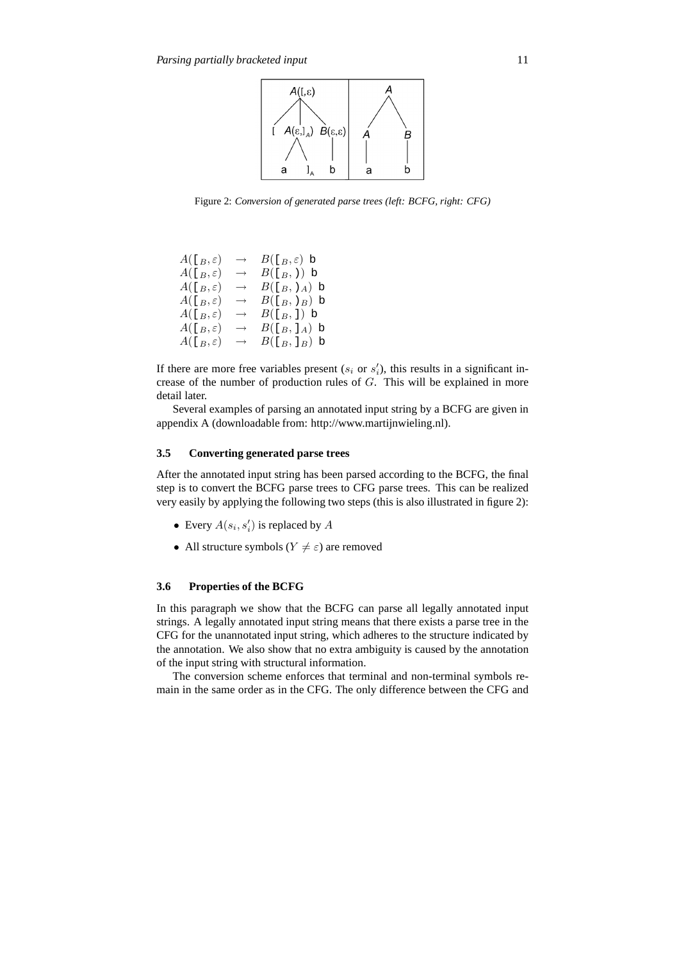

Figure 2: *Conversion of generated parse trees (left: BCFG, right: CFG)*

| $A(\lbrack B,\varepsilon)$ | $\longrightarrow$ | $B(\lceil_B, \varepsilon \rceil)$ b |
|----------------------------|-------------------|-------------------------------------|
| $A([B,\varepsilon])$       | $\rightarrow$     | $B(\lceil_B, \rceil)$ b             |
| $A([B,\varepsilon])$       | $\rightarrow$     | $B([B, Y_A)$ b                      |
| $A([B,\varepsilon])$       | $\rightarrow$     | $B([B, B B)$ b                      |
| $A(\lbrack B,\varepsilon)$ | $\longrightarrow$ | $B([B, 1)$ b                        |
| $A([B,\varepsilon])$       | $\rightarrow$     | $B([B, B_A)$ b                      |
| $A(\lbrack B,\varepsilon)$ | $\rightarrow$     | B([B, B], b)                        |

If there are more free variables present  $(s_i \text{ or } s'_i)$ , this results in a significant increase of the number of production rules of  $G$ . This will be explained in more detail later.

Several examples of parsing an annotated input string by a BCFG are given in appendix A (downloadable from: http://www.martijnwieling.nl).

## **3.5 Converting generated parse trees**

After the annotated input string has been parsed according to the BCFG, the final step is to convert the BCFG parse trees to CFG parse trees. This can be realized very easily by applying the following two steps (this is also illustrated in figure 2):

- Every  $A(s_i, s'_i)$  is replaced by A
- All structure symbols ( $Y \neq \varepsilon$ ) are removed

# **3.6 Properties of the BCFG**

In this paragraph we show that the BCFG can parse all legally annotated input strings. A legally annotated input string means that there exists a parse tree in the CFG for the unannotated input string, which adheres to the structure indicated by the annotation. We also show that no extra ambiguity is caused by the annotation of the input string with structural information.

The conversion scheme enforces that terminal and non-terminal symbols remain in the same order as in the CFG. The only difference between the CFG and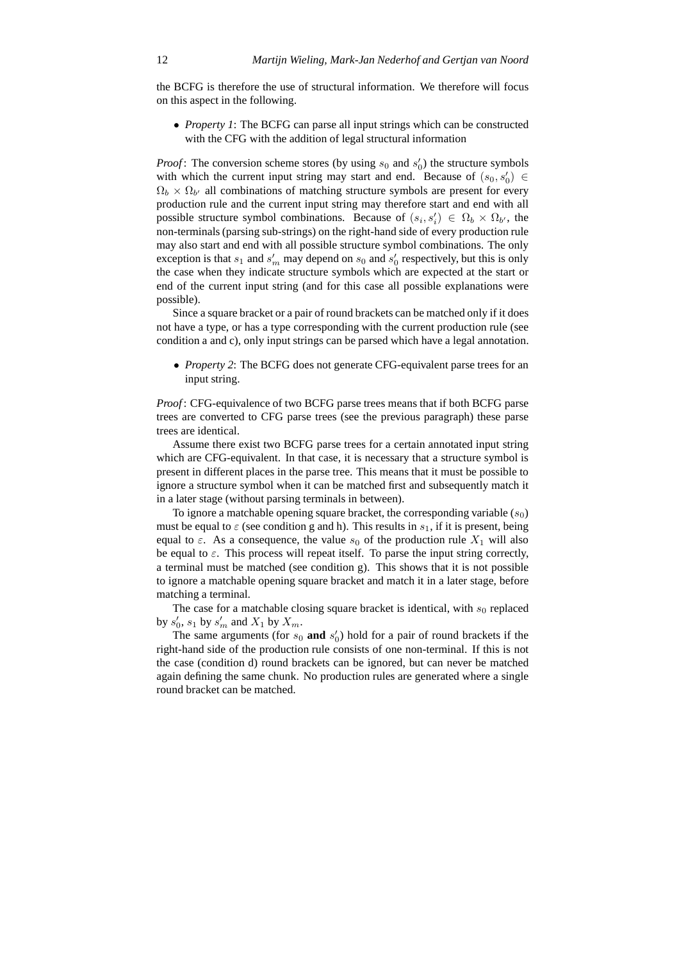the BCFG is therefore the use of structural information. We therefore will focus on this aspect in the following.

• *Property 1*: The BCFG can parse all input strings which can be constructed with the CFG with the addition of legal structural information

*Proof*: The conversion scheme stores (by using  $s_0$  and  $s'_0$ ) the structure symbols with which the current input string may start and end. Because of  $(s_0, s'_0) \in$  $\Omega_b \times \Omega_{b'}$  all combinations of matching structure symbols are present for every production rule and the current input string may therefore start and end with all possible structure symbol combinations. Because of  $(s_i, s'_i) \in \Omega_b \times \Omega_{b'}$ , the non-terminals (parsing sub-strings) on the right-hand side of every production rule may also start and end with all possible structure symbol combinations. The only exception is that  $s_1$  and  $s'_m$  may depend on  $s_0$  and  $s'_0$  respectively, but this is only the case when they indicate structure symbols which are expected at the start or end of the current input string (and for this case all possible explanations were possible).

Since a square bracket or a pair of round brackets can be matched only if it does not have a type, or has a type corresponding with the current production rule (see condition a and c), only input strings can be parsed which have a legal annotation.

• *Property 2*: The BCFG does not generate CFG-equivalent parse trees for an input string.

*Proof* : CFG-equivalence of two BCFG parse trees means that if both BCFG parse trees are converted to CFG parse trees (see the previous paragraph) these parse trees are identical.

Assume there exist two BCFG parse trees for a certain annotated input string which are CFG-equivalent. In that case, it is necessary that a structure symbol is present in different places in the parse tree. This means that it must be possible to ignore a structure symbol when it can be matched first and subsequently match it in a later stage (without parsing terminals in between).

To ignore a matchable opening square bracket, the corresponding variable  $(s_0)$ must be equal to  $\varepsilon$  (see condition g and h). This results in  $s_1$ , if it is present, being equal to  $\varepsilon$ . As a consequence, the value  $s_0$  of the production rule  $X_1$  will also be equal to  $\varepsilon$ . This process will repeat itself. To parse the input string correctly, a terminal must be matched (see condition g). This shows that it is not possible to ignore a matchable opening square bracket and match it in a later stage, before matching a terminal.

The case for a matchable closing square bracket is identical, with  $s_0$  replaced by  $s'_0$ ,  $s_1$  by  $s'_m$  and  $X_1$  by  $X_m$ .

The same arguments (for  $s_0$  **and**  $s'_0$ ) hold for a pair of round brackets if the right-hand side of the production rule consists of one non-terminal. If this is not the case (condition d) round brackets can be ignored, but can never be matched again defining the same chunk. No production rules are generated where a single round bracket can be matched.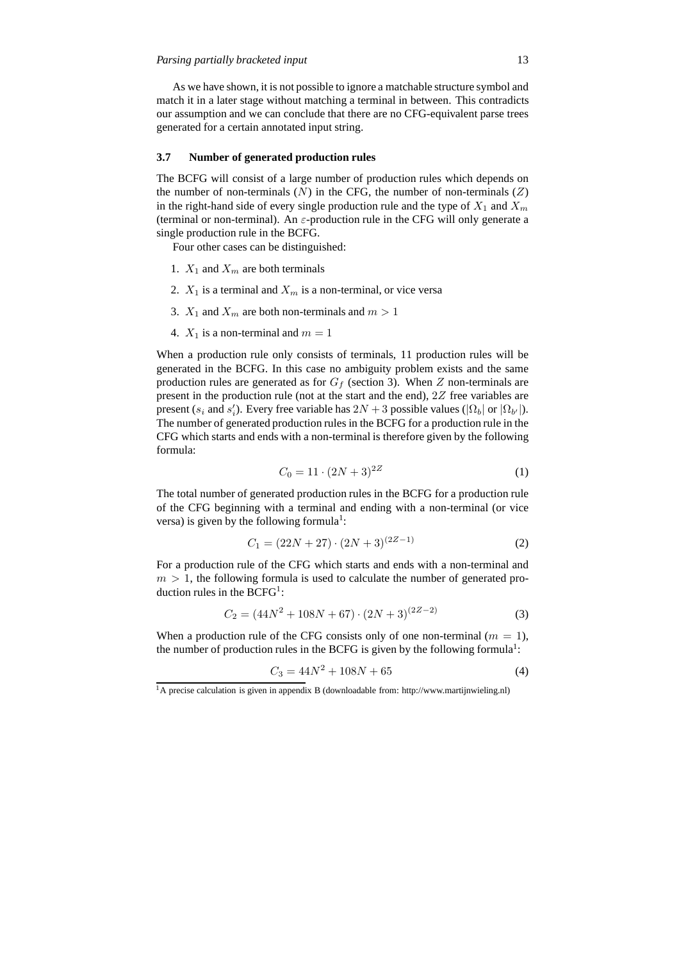As we have shown, it is not possible to ignore a matchable structure symbol and match it in a later stage without matching a terminal in between. This contradicts our assumption and we can conclude that there are no CFG-equivalent parse trees generated for a certain annotated input string.

## **3.7 Number of generated production rules**

The BCFG will consist of a large number of production rules which depends on the number of non-terminals  $(N)$  in the CFG, the number of non-terminals  $(Z)$ in the right-hand side of every single production rule and the type of  $X_1$  and  $X_m$ (terminal or non-terminal). An  $\varepsilon$ -production rule in the CFG will only generate a single production rule in the BCFG.

Four other cases can be distinguished:

- 1.  $X_1$  and  $X_m$  are both terminals
- 2.  $X_1$  is a terminal and  $X_m$  is a non-terminal, or vice versa
- 3.  $X_1$  and  $X_m$  are both non-terminals and  $m > 1$
- 4.  $X_1$  is a non-terminal and  $m = 1$

When a production rule only consists of terminals, 11 production rules will be generated in the BCFG. In this case no ambiguity problem exists and the same production rules are generated as for  $G_f$  (section 3). When Z non-terminals are present in the production rule (not at the start and the end), 2Z free variables are present (s<sub>i</sub> and s'<sub>i</sub>). Every free variable has  $2N + 3$  possible values ( $|\Omega_b|$  or  $|\Omega_{b'}|$ ). The number of generated production rules in the BCFG for a production rule in the CFG which starts and ends with a non-terminal is therefore given by the following formula:

$$
C_0 = 11 \cdot (2N + 3)^{2Z} \tag{1}
$$

The total number of generated production rules in the BCFG for a production rule of the CFG beginning with a terminal and ending with a non-terminal (or vice versa) is given by the following formula<sup>1</sup>:

$$
C_1 = (22N + 27) \cdot (2N + 3)^{(2Z - 1)}
$$
 (2)

For a production rule of the CFG which starts and ends with a non-terminal and  $m > 1$ , the following formula is used to calculate the number of generated production rules in the  $BCFG<sup>1</sup>$ :

$$
C_2 = (44N^2 + 108N + 67) \cdot (2N + 3)^{(2Z - 2)} \tag{3}
$$

When a production rule of the CFG consists only of one non-terminal  $(m = 1)$ , the number of production rules in the BCFG is given by the following formula<sup>1</sup>:

$$
C_3 = 44N^2 + 108N + 65\tag{4}
$$

<sup>1</sup>A precise calculation is given in appendix B (downloadable from: http://www.martijnwieling.nl)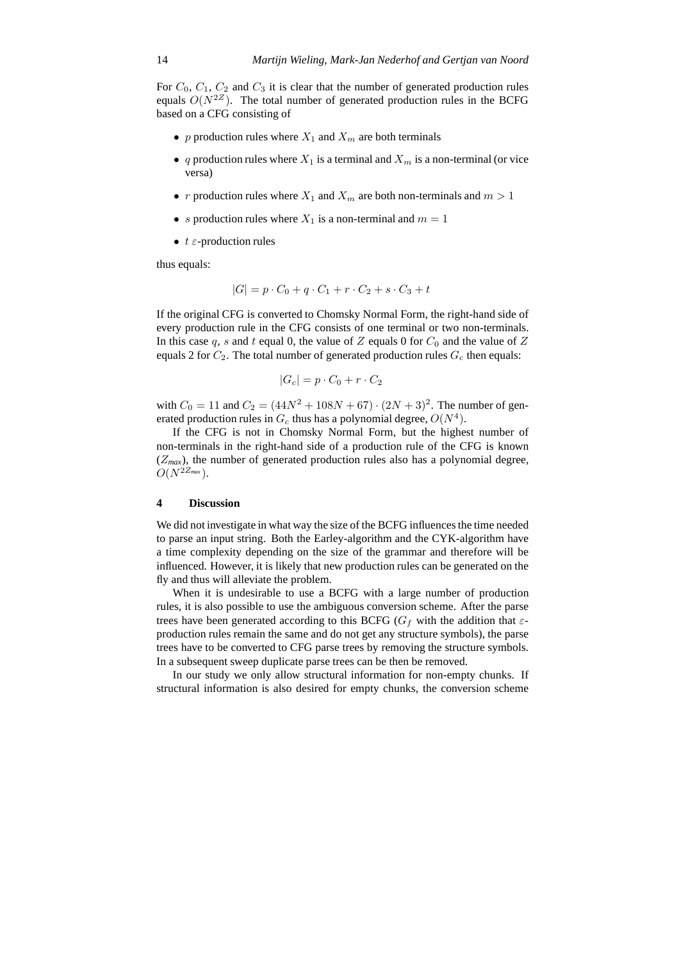For  $C_0$ ,  $C_1$ ,  $C_2$  and  $C_3$  it is clear that the number of generated production rules equals  $O(N^{2Z})$ . The total number of generated production rules in the BCFG based on a CFG consisting of

- p production rules where  $X_1$  and  $X_m$  are both terminals
- q production rules where  $X_1$  is a terminal and  $X_m$  is a non-terminal (or vice versa)
- r production rules where  $X_1$  and  $X_m$  are both non-terminals and  $m > 1$
- s production rules where  $X_1$  is a non-terminal and  $m = 1$
- $t \varepsilon$ -production rules

thus equals:

$$
|G| = p \cdot C_0 + q \cdot C_1 + r \cdot C_2 + s \cdot C_3 + t
$$

If the original CFG is converted to Chomsky Normal Form, the right-hand side of every production rule in the CFG consists of one terminal or two non-terminals. In this case q, s and t equal 0, the value of Z equals 0 for  $C_0$  and the value of Z equals 2 for  $C_2$ . The total number of generated production rules  $G_c$  then equals:

$$
|G_c| = p \cdot C_0 + r \cdot C_2
$$

with  $C_0 = 11$  and  $C_2 = (44N^2 + 108N + 67) \cdot (2N + 3)^2$ . The number of generated production rules in  $G_c$  thus has a polynomial degree,  $O(N^4)$ .

If the CFG is not in Chomsky Normal Form, but the highest number of non-terminals in the right-hand side of a production rule of the CFG is known  $(Z_{max})$ , the number of generated production rules also has a polynomial degree,  $O(N^{2Z_{max}})$ .

## **4 Discussion**

We did not investigate in what way the size of the BCFG influences the time needed to parse an input string. Both the Earley-algorithm and the CYK-algorithm have a time complexity depending on the size of the grammar and therefore will be influenced. However, it is likely that new production rules can be generated on the fly and thus will alleviate the problem.

When it is undesirable to use a BCFG with a large number of production rules, it is also possible to use the ambiguous conversion scheme. After the parse trees have been generated according to this BCFG ( $G_f$  with the addition that  $\varepsilon$ production rules remain the same and do not get any structure symbols), the parse trees have to be converted to CFG parse trees by removing the structure symbols. In a subsequent sweep duplicate parse trees can be then be removed.

In our study we only allow structural information for non-empty chunks. If structural information is also desired for empty chunks, the conversion scheme